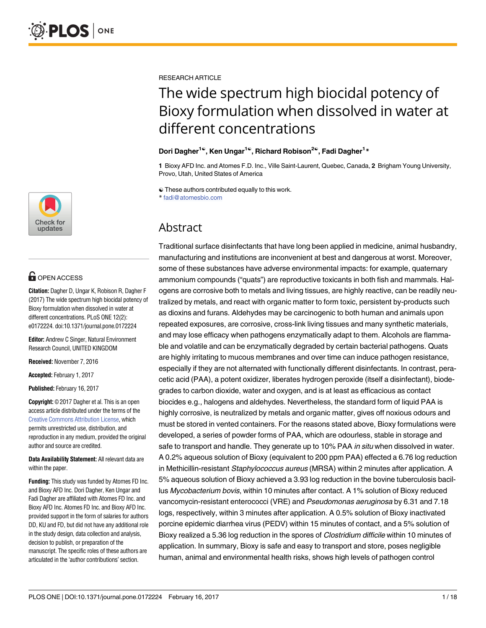

# **OPEN ACCESS**

**Citation:** Dagher D, Ungar K, Robison R, Dagher F (2017) The wide spectrum high biocidal potency of Bioxy formulation when dissolved in water at different concentrations. PLoS ONE 12(2): e0172224. doi:10.1371/journal.pone.0172224

**Editor:** Andrew C Singer, Natural Environment Research Council, UNITED KINGDOM

**Received:** November 7, 2016

**Accepted:** February 1, 2017

**Published:** February 16, 2017

**Copyright:** © 2017 Dagher et al. This is an open access article distributed under the terms of the Creative Commons [Attribution](http://creativecommons.org/licenses/by/4.0/) License, which permits unrestricted use, distribution, and reproduction in any medium, provided the original author and source are credited.

**Data Availability Statement:** All relevant data are within the paper.

**Funding:** This study was funded by Atomes FD Inc. and Bioxy AFD Inc. Dori Dagher, Ken Ungar and Fadi Dagher are affiliated with Atomes FD Inc. and Bioxy AFD Inc. Atomes FD Inc. and Bioxy AFD Inc. provided support in the form of salaries for authors DD, KU and FD, but did not have any additional role in the study design, data collection and analysis, decision to publish, or preparation of the manuscript. The specific roles of these authors are articulated in the 'author contributions' section.

RESEARCH ARTICLE

# The wide spectrum high biocidal potency of Bioxy formulation when dissolved in water at different concentrations

### **Dori Dagher1**☯**, Ken Ungar1**☯**, Richard Robison2**☯**, Fadi Dagher1 \***

**1** Bioxy AFD Inc. and Atomes F.D. Inc., Ville Saint-Laurent, Quebec, Canada, **2** Brigham Young University, Provo, Utah, United States of America

☯ These authors contributed equally to this work.

\* fadi@atomesbio.com

# Abstract

Traditional surface disinfectants that have long been applied in medicine, animal husbandry, manufacturing and institutions are inconvenient at best and dangerous at worst. Moreover, some of these substances have adverse environmental impacts: for example, quaternary ammonium compounds ("quats") are reproductive toxicants in both fish and mammals. Halogens are corrosive both to metals and living tissues, are highly reactive, can be readily neutralized by metals, and react with organic matter to form toxic, persistent by-products such as dioxins and furans. Aldehydes may be carcinogenic to both human and animals upon repeated exposures, are corrosive, cross-link living tissues and many synthetic materials, and may lose efficacy when pathogens enzymatically adapt to them. Alcohols are flammable and volatile and can be enzymatically degraded by certain bacterial pathogens. Quats are highly irritating to mucous membranes and over time can induce pathogen resistance, especially if they are not alternated with functionally different disinfectants. In contrast, peracetic acid (PAA), a potent oxidizer, liberates hydrogen peroxide (itself a disinfectant), biodegrades to carbon dioxide, water and oxygen, and is at least as efficacious as contact biocides e.g., halogens and aldehydes. Nevertheless, the standard form of liquid PAA is highly corrosive, is neutralized by metals and organic matter, gives off noxious odours and must be stored in vented containers. For the reasons stated above, Bioxy formulations were developed, a series of powder forms of PAA, which are odourless, stable in storage and safe to transport and handle. They generate up to 10% PAA in situ when dissolved in water. A 0.2% aqueous solution of Bioxy (equivalent to 200 ppm PAA) effected a 6.76 log reduction in Methicillin-resistant Staphylococcus aureus (MRSA) within 2 minutes after application. A 5% aqueous solution of Bioxy achieved a 3.93 log reduction in the bovine tuberculosis bacillus Mycobacterium bovis, within 10 minutes after contact. A 1% solution of Bioxy reduced vancomycin-resistant enterococci (VRE) and Pseudomonas aeruginosa by 6.31 and 7.18 logs, respectively, within 3 minutes after application. A 0.5% solution of Bioxy inactivated porcine epidemic diarrhea virus (PEDV) within 15 minutes of contact, and a 5% solution of Bioxy realized a 5.36 log reduction in the spores of Clostridium difficile within 10 minutes of application. In summary, Bioxy is safe and easy to transport and store, poses negligible human, animal and environmental health risks, shows high levels of pathogen control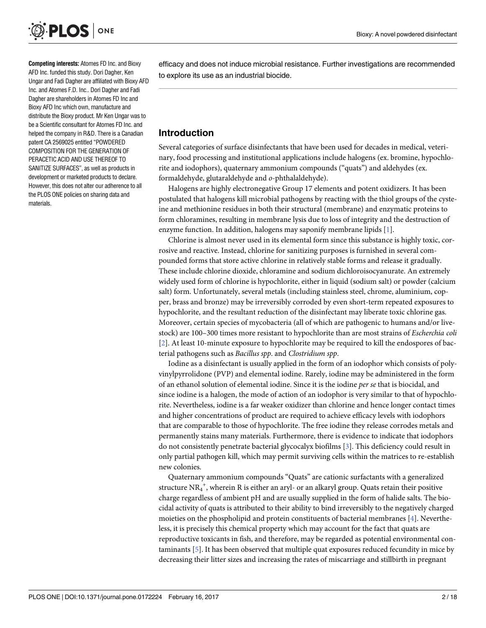<span id="page-1-0"></span>

**Competing interests:** Atomes FD Inc. and Bioxy AFD Inc. funded this study. Dori Dagher, Ken Ungar and Fadi Dagher are affiliated with Bioxy AFD Inc. and Atomes F.D. Inc.. Dori Dagher and Fadi Dagher are shareholders in Atomes FD Inc and Bioxy AFD Inc which own, manufacture and distribute the Bioxy product. Mr Ken Ungar was to be a Scientific consultant for Atomes FD Inc. and helped the company in R&D. There is a Canadian patent CA 2569025 entitled "POWDERED COMPOSITION FOR THE GENERATION OF PERACETIC ACID AND USE THEREOF TO SANITIZE SURFACES", as well as products in development or marketed products to declare. However, this does not alter our adherence to all the PLOS ONE policies on sharing data and materials.

efficacy and does not induce microbial resistance. Further investigations are recommended to explore its use as an industrial biocide.

# **Introduction**

Several categories of surface disinfectants that have been used for decades in medical, veterinary, food processing and institutional applications include halogens (ex. bromine, hypochlorite and iodophors), quaternary ammonium compounds ("quats") and aldehydes (ex. formaldehyde, glutaraldehyde and *o*-phthalaldehyde).

Halogens are highly electronegative Group 17 elements and potent oxidizers. It has been postulated that halogens kill microbial pathogens by reacting with the thiol groups of the cysteine and methionine residues in both their structural (membrane) and enzymatic proteins to form chloramines, resulting in membrane lysis due to loss of integrity and the destruction of enzyme function. In addition, halogens may saponify membrane lipids [[1](#page-16-0)].

Chlorine is almost never used in its elemental form since this substance is highly toxic, corrosive and reactive. Instead, chlorine for sanitizing purposes is furnished in several compounded forms that store active chlorine in relatively stable forms and release it gradually. These include chlorine dioxide, chloramine and sodium dichloroisocyanurate. An extremely widely used form of chlorine is hypochlorite, either in liquid (sodium salt) or powder (calcium salt) form. Unfortunately, several metals (including stainless steel, chrome, aluminium, copper, brass and bronze) may be irreversibly corroded by even short-term repeated exposures to hypochlorite, and the resultant reduction of the disinfectant may liberate toxic chlorine gas. Moreover, certain species of mycobacteria (all of which are pathogenic to humans and/or livestock) are 100–300 times more resistant to hypochlorite than are most strains of *Escherchia coli* [\[2](#page-16-0)]. At least 10-minute exposure to hypochlorite may be required to kill the endospores of bacterial pathogens such as *Bacillus spp*. and *Clostridium spp*.

Iodine as a disinfectant is usually applied in the form of an iodophor which consists of polyvinylpyrrolidone (PVP) and elemental iodine. Rarely, iodine may be administered in the form of an ethanol solution of elemental iodine. Since it is the iodine *per se* that is biocidal, and since iodine is a halogen, the mode of action of an iodophor is very similar to that of hypochlorite. Nevertheless, iodine is a far weaker oxidizer than chlorine and hence longer contact times and higher concentrations of product are required to achieve efficacy levels with iodophors that are comparable to those of hypochlorite. The free iodine they release corrodes metals and permanently stains many materials. Furthermore, there is evidence to indicate that iodophors do not consistently penetrate bacterial glycocalyx biofilms [\[3](#page-16-0)]. This deficiency could result in only partial pathogen kill, which may permit surviving cells within the matrices to re-establish new colonies.

Quaternary ammonium compounds "Quats" are cationic surfactants with a generalized structure  $\mathrm{NR_4}^+$ , wherein R is either an aryl- or an alkaryl group. Quats retain their positive charge regardless of ambient pH and are usually supplied in the form of halide salts. The biocidal activity of quats is attributed to their ability to bind irreversibly to the negatively charged moieties on the phospholipid and protein constituents of bacterial membranes [\[4\]](#page-16-0). Nevertheless, it is precisely this chemical property which may account for the fact that quats are reproductive toxicants in fish, and therefore, may be regarded as potential environmental contaminants [[5](#page-16-0)]. It has been observed that multiple quat exposures reduced fecundity in mice by decreasing their litter sizes and increasing the rates of miscarriage and stillbirth in pregnant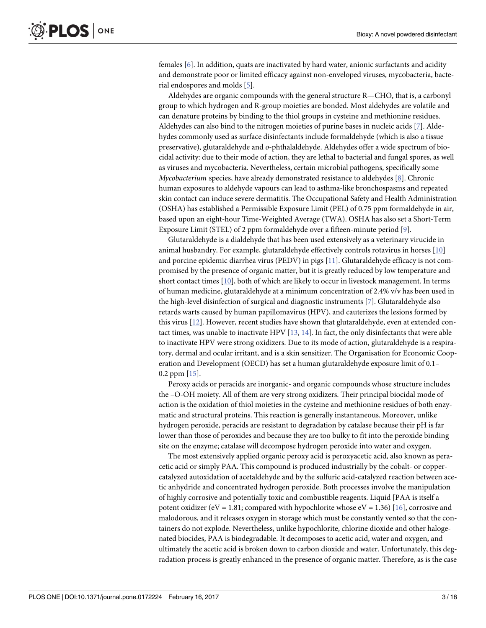<span id="page-2-0"></span>females [[6](#page-16-0)]. In addition, quats are inactivated by hard water, anionic surfactants and acidity and demonstrate poor or limited efficacy against non-enveloped viruses, mycobacteria, bacterial endospores and molds [[5](#page-16-0)].

Aldehydes are organic compounds with the general structure R—CHO, that is, a carbonyl group to which hydrogen and R-group moieties are bonded. Most aldehydes are volatile and can denature proteins by binding to the thiol groups in cysteine and methionine residues. Aldehydes can also bind to the nitrogen moieties of purine bases in nucleic acids [[7\]](#page-16-0). Aldehydes commonly used as surface disinfectants include formaldehyde (which is also a tissue preservative), glutaraldehyde and *o*-phthalaldehyde. Aldehydes offer a wide spectrum of biocidal activity: due to their mode of action, they are lethal to bacterial and fungal spores, as well as viruses and mycobacteria. Nevertheless, certain microbial pathogens, specifically some *Mycobacterium* species, have already demonstrated resistance to aldehydes [\[8\]](#page-16-0). Chronic human exposures to aldehyde vapours can lead to asthma-like bronchospasms and repeated skin contact can induce severe dermatitis. The Occupational Safety and Health Administration (OSHA) has established a Permissible Exposure Limit (PEL) of 0.75 ppm formaldehyde in air, based upon an eight-hour Time-Weighted Average (TWA). OSHA has also set a Short-Term Exposure Limit (STEL) of 2 ppm formaldehyde over a fifteen-minute period [\[9\]](#page-17-0).

Glutaraldehyde is a dialdehyde that has been used extensively as a veterinary virucide in animal husbandry. For example, glutaraldehyde effectively controls rotavirus in horses [[10](#page-17-0)] and porcine epidemic diarrhea virus (PEDV) in pigs [\[11\]](#page-17-0). Glutaraldehyde efficacy is not compromised by the presence of organic matter, but it is greatly reduced by low temperature and short contact times [[10](#page-17-0)], both of which are likely to occur in livestock management. In terms of human medicine, glutaraldehyde at a minimum concentration of 2.4% v/v has been used in the high-level disinfection of surgical and diagnostic instruments [\[7](#page-16-0)]. Glutaraldehyde also retards warts caused by human papillomavirus (HPV), and cauterizes the lesions formed by this virus [\[12\]](#page-17-0). However, recent studies have shown that glutaraldehyde, even at extended contact times, was unable to inactivate HPV [[13](#page-17-0), [14](#page-17-0)]. In fact, the only disinfectants that were able to inactivate HPV were strong oxidizers. Due to its mode of action, glutaraldehyde is a respiratory, dermal and ocular irritant, and is a skin sensitizer. The Organisation for Economic Cooperation and Development (OECD) has set a human glutaraldehyde exposure limit of 0.1– 0.2 ppm [\[15\]](#page-17-0).

Peroxy acids or peracids are inorganic- and organic compounds whose structure includes the –O-OH moiety. All of them are very strong oxidizers. Their principal biocidal mode of action is the oxidation of thiol moieties in the cysteine and methionine residues of both enzymatic and structural proteins. This reaction is generally instantaneous. Moreover, unlike hydrogen peroxide, peracids are resistant to degradation by catalase because their pH is far lower than those of peroxides and because they are too bulky to fit into the peroxide binding site on the enzyme; catalase will decompose hydrogen peroxide into water and oxygen.

The most extensively applied organic peroxy acid is peroxyacetic acid, also known as peracetic acid or simply PAA. This compound is produced industrially by the cobalt- or coppercatalyzed autoxidation of acetaldehyde and by the sulfuric acid-catalyzed reaction between acetic anhydride and concentrated hydrogen peroxide. Both processes involve the manipulation of highly corrosive and potentially toxic and combustible reagents. Liquid [PAA is itself a potent oxidizer (eV = 1.81; compared with hypochlorite whose  $eV = 1.36$ ) [\[16](#page-17-0)], corrosive and malodorous, and it releases oxygen in storage which must be constantly vented so that the containers do not explode. Nevertheless, unlike hypochlorite, chlorine dioxide and other halogenated biocides, PAA is biodegradable. It decomposes to acetic acid, water and oxygen, and ultimately the acetic acid is broken down to carbon dioxide and water. Unfortunately, this degradation process is greatly enhanced in the presence of organic matter. Therefore, as is the case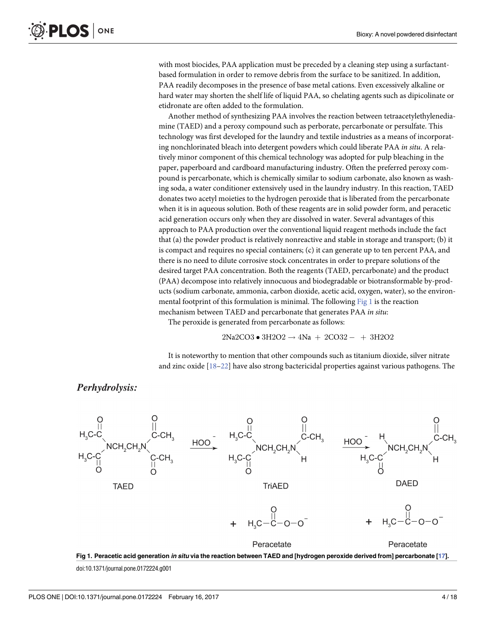<span id="page-3-0"></span>with most biocides, PAA application must be preceded by a cleaning step using a surfactantbased formulation in order to remove debris from the surface to be sanitized. In addition, PAA readily decomposes in the presence of base metal cations. Even excessively alkaline or hard water may shorten the shelf life of liquid PAA, so chelating agents such as dipicolinate or etidronate are often added to the formulation.

Another method of synthesizing PAA involves the reaction between tetraacetylethylenediamine (TAED) and a peroxy compound such as perborate, percarbonate or persulfate. This technology was first developed for the laundry and textile industries as a means of incorporating nonchlorinated bleach into detergent powders which could liberate PAA *in situ*. A relatively minor component of this chemical technology was adopted for pulp bleaching in the paper, paperboard and cardboard manufacturing industry. Often the preferred peroxy compound is percarbonate, which is chemically similar to sodium carbonate, also known as washing soda, a water conditioner extensively used in the laundry industry. In this reaction, TAED donates two acetyl moieties to the hydrogen peroxide that is liberated from the percarbonate when it is in aqueous solution. Both of these reagents are in solid powder form, and peracetic acid generation occurs only when they are dissolved in water. Several advantages of this approach to PAA production over the conventional liquid reagent methods include the fact that (a) the powder product is relatively nonreactive and stable in storage and transport; (b) it is compact and requires no special containers; (c) it can generate up to ten percent PAA, and there is no need to dilute corrosive stock concentrates in order to prepare solutions of the desired target PAA concentration. Both the reagents (TAED, percarbonate) and the product (PAA) decompose into relatively innocuous and biodegradable or biotransformable by-products (sodium carbonate, ammonia, carbon dioxide, acetic acid, oxygen, water), so the environmental footprint of this formulation is minimal. The following  $Fig 1$  is the reaction mechanism between TAED and percarbonate that generates PAA *in situ*:

The peroxide is generated from percarbonate as follows:

$$
2Na2CO3 \bullet 3H2O2 \rightarrow 4Na + 2CO32 - + 3H2O2
$$

It is noteworthy to mention that other compounds such as titanium dioxide, silver nitrate and zinc oxide [[18–22\]](#page-17-0) have also strong bactericidal properties against various pathogens. The

Perhydrolysis:



Fig 1. Peracetic acid generation in situ via the reaction between TAED and [hydrogen peroxide derived from] percarbonate [\[17](#page-17-0)].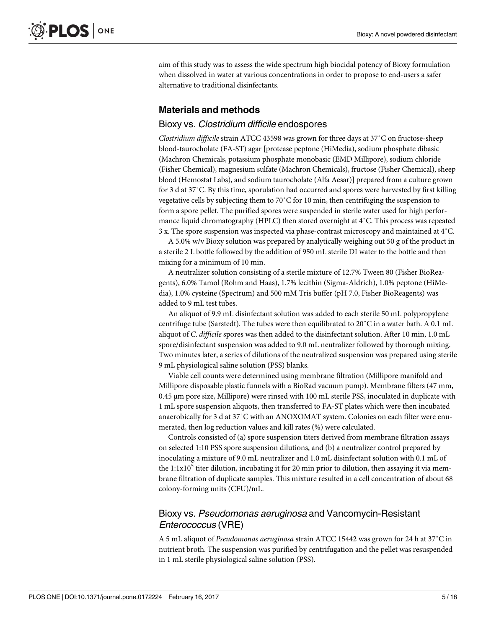aim of this study was to assess the wide spectrum high biocidal potency of Bioxy formulation when dissolved in water at various concentrations in order to propose to end-users a safer alternative to traditional disinfectants.

# **Materials and methods**

### Bioxy vs. Clostridium difficile endospores

*Clostridium difficile* strain ATCC 43598 was grown for three days at 37˚C on fructose-sheep blood-taurocholate (FA-ST) agar [protease peptone (HiMedia), sodium phosphate dibasic (Machron Chemicals, potassium phosphate monobasic (EMD Millipore), sodium chloride (Fisher Chemical), magnesium sulfate (Machron Chemicals), fructose (Fisher Chemical), sheep blood (Hemostat Labs), and sodium taurocholate (Alfa Aesar)] prepared from a culture grown for 3 d at 37˚C. By this time, sporulation had occurred and spores were harvested by first killing vegetative cells by subjecting them to 70˚C for 10 min, then centrifuging the suspension to form a spore pellet. The purified spores were suspended in sterile water used for high performance liquid chromatography (HPLC) then stored overnight at 4˚C. This process was repeated 3 x. The spore suspension was inspected via phase-contrast microscopy and maintained at 4˚C.

A 5.0% w/v Bioxy solution was prepared by analytically weighing out 50 g of the product in a sterile 2 L bottle followed by the addition of 950 mL sterile DI water to the bottle and then mixing for a minimum of 10 min.

A neutralizer solution consisting of a sterile mixture of 12.7% Tween 80 (Fisher BioReagents), 6.0% Tamol (Rohm and Haas), 1.7% lecithin (Sigma-Aldrich), 1.0% peptone (HiMedia), 1.0% cysteine (Spectrum) and 500 mM Tris buffer (pH 7.0, Fisher BioReagents) was added to 9 mL test tubes.

An aliquot of 9.9 mL disinfectant solution was added to each sterile 50 mL polypropylene centrifuge tube (Sarstedt). The tubes were then equilibrated to 20˚C in a water bath. A 0.1 mL aliquot of *C*. *difficile* spores was then added to the disinfectant solution. After 10 min, 1.0 mL spore/disinfectant suspension was added to 9.0 mL neutralizer followed by thorough mixing. Two minutes later, a series of dilutions of the neutralized suspension was prepared using sterile 9 mL physiological saline solution (PSS) blanks.

Viable cell counts were determined using membrane filtration (Millipore manifold and Millipore disposable plastic funnels with a BioRad vacuum pump). Membrane filters (47 mm, 0.45 μm pore size, Millipore) were rinsed with 100 mL sterile PSS, inoculated in duplicate with 1 mL spore suspension aliquots, then transferred to FA-ST plates which were then incubated anaerobically for 3 d at 37˚C with an ANOXOMAT system. Colonies on each filter were enumerated, then log reduction values and kill rates (%) were calculated.

Controls consisted of (a) spore suspension titers derived from membrane filtration assays on selected 1:10 PSS spore suspension dilutions, and (b) a neutralizer control prepared by inoculating a mixture of 9.0 mL neutralizer and 1.0 mL disinfectant solution with 0.1 mL of the  $1:1x10<sup>5</sup>$  titer dilution, incubating it for 20 min prior to dilution, then assaying it via membrane filtration of duplicate samples. This mixture resulted in a cell concentration of about 68 colony-forming units (CFU)/mL.

# Bioxy vs. Pseudomonas aeruginosa and Vancomycin-Resistant Enterococcus (VRE)

A 5 mL aliquot of *Pseudomonas aeruginosa* strain ATCC 15442 was grown for 24 h at 37˚C in nutrient broth. The suspension was purified by centrifugation and the pellet was resuspended in 1 mL sterile physiological saline solution (PSS).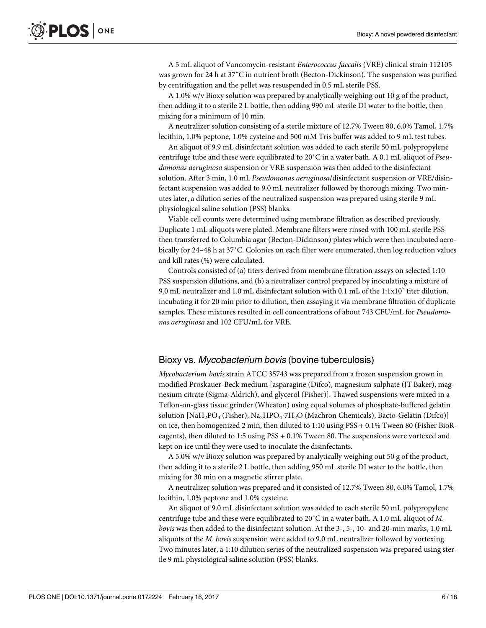A 5 mL aliquot of Vancomycin-resistant *Enterococcus faecalis* (VRE) clinical strain 112105 was grown for 24 h at 37˚C in nutrient broth (Becton-Dickinson). The suspension was purified by centrifugation and the pellet was resuspended in 0.5 mL sterile PSS.

A 1.0% w/v Bioxy solution was prepared by analytically weighing out 10 g of the product, then adding it to a sterile 2 L bottle, then adding 990 mL sterile DI water to the bottle, then mixing for a minimum of 10 min.

A neutralizer solution consisting of a sterile mixture of 12.7% Tween 80, 6.0% Tamol, 1.7% lecithin, 1.0% peptone, 1.0% cysteine and 500 mM Tris buffer was added to 9 mL test tubes.

An aliquot of 9.9 mL disinfectant solution was added to each sterile 50 mL polypropylene centrifuge tube and these were equilibrated to 20˚C in a water bath. A 0.1 mL aliquot of *Pseudomonas aeruginosa* suspension or VRE suspension was then added to the disinfectant solution. After 3 min, 1.0 mL *Pseudomonas aeruginosa*/disinfectant suspension or VRE/disinfectant suspension was added to 9.0 mL neutralizer followed by thorough mixing. Two minutes later, a dilution series of the neutralized suspension was prepared using sterile 9 mL physiological saline solution (PSS) blanks.

Viable cell counts were determined using membrane filtration as described previously. Duplicate 1 mL aliquots were plated. Membrane filters were rinsed with 100 mL sterile PSS then transferred to Columbia agar (Becton-Dickinson) plates which were then incubated aerobically for 24–48 h at 37˚C. Colonies on each filter were enumerated, then log reduction values and kill rates (%) were calculated.

Controls consisted of (a) titers derived from membrane filtration assays on selected 1:10 PSS suspension dilutions, and (b) a neutralizer control prepared by inoculating a mixture of 9.0 mL neutralizer and 1.0 mL disinfectant solution with 0.1 mL of the  $1:1x10^5$  titer dilution, incubating it for 20 min prior to dilution, then assaying it via membrane filtration of duplicate samples. These mixtures resulted in cell concentrations of about 743 CFU/mL for *Pseudomonas aeruginosa* and 102 CFU/mL for VRE.

# Bioxy vs. Mycobacterium bovis (bovine tuberculosis)

*Mycobacterium bovis* strain ATCC 35743 was prepared from a frozen suspension grown in modified Proskauer-Beck medium [asparagine (Difco), magnesium sulphate (JT Baker), magnesium citrate (Sigma-Aldrich), and glycerol (Fisher)]. Thawed suspensions were mixed in a Teflon-on-glass tissue grinder (Wheaton) using equal volumes of phosphate-buffered gelatin solution  $[NaH_2PO_4$  (Fisher),  $Na_2HPO_4$ .7H<sub>2</sub>O (Machron Chemicals), Bacto-Gelatin (Difco)] on ice, then homogenized 2 min, then diluted to 1:10 using PSS + 0.1% Tween 80 (Fisher BioReagents), then diluted to 1:5 using PSS + 0.1% Tween 80. The suspensions were vortexed and kept on ice until they were used to inoculate the disinfectants.

A 5.0% w/v Bioxy solution was prepared by analytically weighing out 50 g of the product, then adding it to a sterile 2 L bottle, then adding 950 mL sterile DI water to the bottle, then mixing for 30 min on a magnetic stirrer plate.

A neutralizer solution was prepared and it consisted of 12.7% Tween 80, 6.0% Tamol, 1.7% lecithin, 1.0% peptone and 1.0% cysteine.

An aliquot of 9.0 mL disinfectant solution was added to each sterile 50 mL polypropylene centrifuge tube and these were equilibrated to 20˚C in a water bath. A 1.0 mL aliquot of *M*. *bovis* was then added to the disinfectant solution. At the 3-, 5-, 10- and 20-min marks, 1.0 mL aliquots of the *M*. *bovis* suspension were added to 9.0 mL neutralizer followed by vortexing. Two minutes later, a 1:10 dilution series of the neutralized suspension was prepared using sterile 9 mL physiological saline solution (PSS) blanks.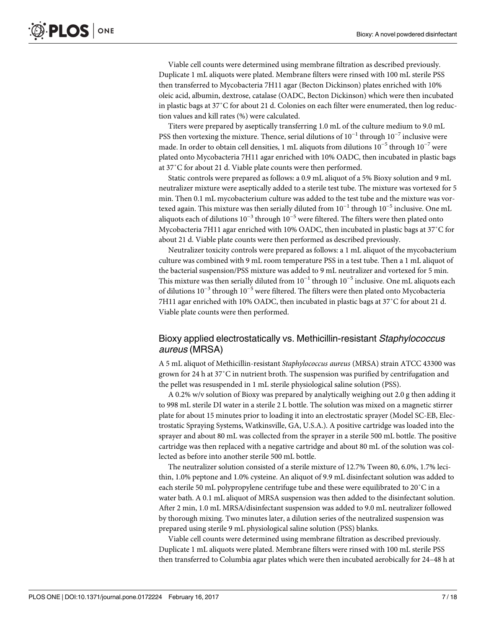Viable cell counts were determined using membrane filtration as described previously. Duplicate 1 mL aliquots were plated. Membrane filters were rinsed with 100 mL sterile PSS then transferred to Mycobacteria 7H11 agar (Becton Dickinson) plates enriched with 10% oleic acid, albumin, dextrose, catalase (OADC, Becton Dickinson) which were then incubated in plastic bags at 37˚C for about 21 d. Colonies on each filter were enumerated, then log reduction values and kill rates (%) were calculated.

Titers were prepared by aseptically transferring 1.0 mL of the culture medium to 9.0 mL PSS then vortexing the mixture. Thence, serial dilutions of 10<sup>-1</sup> through 10<sup>-7</sup> inclusive were made. In order to obtain cell densities, 1 mL aliquots from dilutions 10−<sup>5</sup> through 10−<sup>7</sup> were plated onto Mycobacteria 7H11 agar enriched with 10% OADC, then incubated in plastic bags at 37˚C for about 21 d. Viable plate counts were then performed.

Static controls were prepared as follows: a 0.9 mL aliquot of a 5% Bioxy solution and 9 mL neutralizer mixture were aseptically added to a sterile test tube. The mixture was vortexed for 5 min. Then 0.1 mL mycobacterium culture was added to the test tube and the mixture was vortexed again. This mixture was then serially diluted from  $10^{-1}$  through  $10^{-5}$  inclusive. One mL aliquots each of dilutions  $10^{-3}$  through  $10^{-5}$  were filtered. The filters were then plated onto Mycobacteria 7H11 agar enriched with 10% OADC, then incubated in plastic bags at 37˚C for about 21 d. Viable plate counts were then performed as described previously.

Neutralizer toxicity controls were prepared as follows: a 1 mL aliquot of the mycobacterium culture was combined with 9 mL room temperature PSS in a test tube. Then a 1 mL aliquot of the bacterial suspension/PSS mixture was added to 9 mL neutralizer and vortexed for 5 min. This mixture was then serially diluted from  $10^{-1}$  through  $10^{-5}$  inclusive. One mL aliquots each of dilutions  $10^{-3}$  through  $10^{-5}$  were filtered. The filters were then plated onto Mycobacteria 7H11 agar enriched with 10% OADC, then incubated in plastic bags at 37˚C for about 21 d. Viable plate counts were then performed.

# Bioxy applied electrostatically vs. Methicillin-resistant Staphylococcus aureus (MRSA)

A 5 mL aliquot of Methicillin-resistant *Staphylococcus aureus* (MRSA) strain ATCC 43300 was grown for 24 h at 37˚C in nutrient broth. The suspension was purified by centrifugation and the pellet was resuspended in 1 mL sterile physiological saline solution (PSS).

A 0.2% w/v solution of Bioxy was prepared by analytically weighing out 2.0 g then adding it to 998 mL sterile DI water in a sterile 2 L bottle. The solution was mixed on a magnetic stirrer plate for about 15 minutes prior to loading it into an electrostatic sprayer (Model SC-EB, Electrostatic Spraying Systems, Watkinsville, GA, U.S.A.). A positive cartridge was loaded into the sprayer and about 80 mL was collected from the sprayer in a sterile 500 mL bottle. The positive cartridge was then replaced with a negative cartridge and about 80 mL of the solution was collected as before into another sterile 500 mL bottle.

The neutralizer solution consisted of a sterile mixture of 12.7% Tween 80, 6.0%, 1.7% lecithin, 1.0% peptone and 1.0% cysteine. An aliquot of 9.9 mL disinfectant solution was added to each sterile 50 mL polypropylene centrifuge tube and these were equilibrated to 20˚C in a water bath. A 0.1 mL aliquot of MRSA suspension was then added to the disinfectant solution. After 2 min, 1.0 mL MRSA/disinfectant suspension was added to 9.0 mL neutralizer followed by thorough mixing. Two minutes later, a dilution series of the neutralized suspension was prepared using sterile 9 mL physiological saline solution (PSS) blanks.

Viable cell counts were determined using membrane filtration as described previously. Duplicate 1 mL aliquots were plated. Membrane filters were rinsed with 100 mL sterile PSS then transferred to Columbia agar plates which were then incubated aerobically for 24–48 h at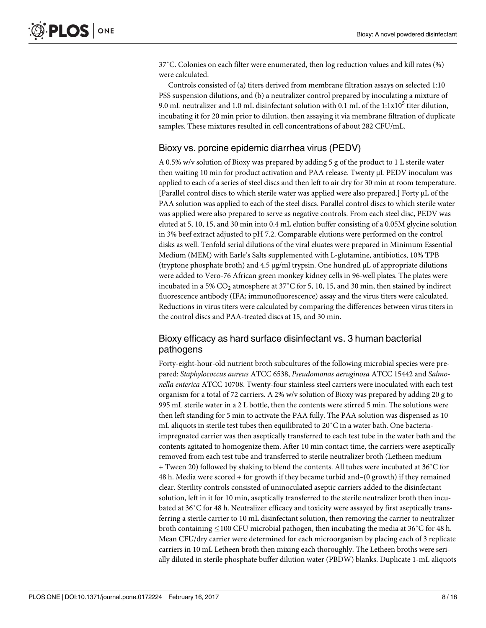37˚C. Colonies on each filter were enumerated, then log reduction values and kill rates (%) were calculated.

Controls consisted of (a) titers derived from membrane filtration assays on selected 1:10 PSS suspension dilutions, and (b) a neutralizer control prepared by inoculating a mixture of 9.0 mL neutralizer and 1.0 mL disinfectant solution with 0.1 mL of the 1:1x10<sup>5</sup> titer dilution, incubating it for 20 min prior to dilution, then assaying it via membrane filtration of duplicate samples. These mixtures resulted in cell concentrations of about 282 CFU/mL.

# Bioxy vs. porcine epidemic diarrhea virus (PEDV)

A 0.5% w/v solution of Bioxy was prepared by adding 5 g of the product to 1 L sterile water then waiting 10 min for product activation and PAA release. Twenty μL PEDV inoculum was applied to each of a series of steel discs and then left to air dry for 30 min at room temperature. [Parallel control discs to which sterile water was applied were also prepared.] Forty μL of the PAA solution was applied to each of the steel discs. Parallel control discs to which sterile water was applied were also prepared to serve as negative controls. From each steel disc, PEDV was eluted at 5, 10, 15, and 30 min into 0.4 mL elution buffer consisting of a 0.05M glycine solution in 3% beef extract adjusted to pH 7.2. Comparable elutions were performed on the control disks as well. Tenfold serial dilutions of the viral eluates were prepared in Minimum Essential Medium (MEM) with Earle's Salts supplemented with L-glutamine, antibiotics, 10% TPB (tryptone phosphate broth) and 4.5 μg/ml trypsin. One hundred μL of appropriate dilutions were added to Vero-76 African green monkey kidney cells in 96-well plates. The plates were incubated in a 5%  $CO_2$  atmosphere at 37°C for 5, 10, 15, and 30 min, then stained by indirect fluorescence antibody (IFA; immunofluorescence) assay and the virus titers were calculated. Reductions in virus titers were calculated by comparing the differences between virus titers in the control discs and PAA-treated discs at 15, and 30 min.

# Bioxy efficacy as hard surface disinfectant vs. 3 human bacterial pathogens

Forty-eight-hour-old nutrient broth subcultures of the following microbial species were prepared: *Staphylococcus aureus* ATCC 6538, *Pseudomonas aeruginosa* ATCC 15442 and *Salmonella enterica* ATCC 10708. Twenty-four stainless steel carriers were inoculated with each test organism for a total of 72 carriers. A 2% w/v solution of Bioxy was prepared by adding 20 g to 995 mL sterile water in a 2 L bottle, then the contents were stirred 5 min. The solutions were then left standing for 5 min to activate the PAA fully. The PAA solution was dispensed as 10 mL aliquots in sterile test tubes then equilibrated to 20˚C in a water bath. One bacteriaimpregnated carrier was then aseptically transferred to each test tube in the water bath and the contents agitated to homogenize them. After 10 min contact time, the carriers were aseptically removed from each test tube and transferred to sterile neutralizer broth (Letheen medium + Tween 20) followed by shaking to blend the contents. All tubes were incubated at 36˚C for 48 h. Media were scored + for growth if they became turbid and–(0 growth) if they remained clear. Sterility controls consisted of uninoculated aseptic carriers added to the disinfectant solution, left in it for 10 min, aseptically transferred to the sterile neutralizer broth then incubated at 36˚C for 48 h. Neutralizer efficacy and toxicity were assayed by first aseptically transferring a sterile carrier to 10 mL disinfectant solution, then removing the carrier to neutralizer broth containing  $\leq 100$  CFU microbial pathogen, then incubating the media at 36 $^{\circ}$ C for 48 h. Mean CFU/dry carrier were determined for each microorganism by placing each of 3 replicate carriers in 10 mL Letheen broth then mixing each thoroughly. The Letheen broths were serially diluted in sterile phosphate buffer dilution water (PBDW) blanks. Duplicate 1-mL aliquots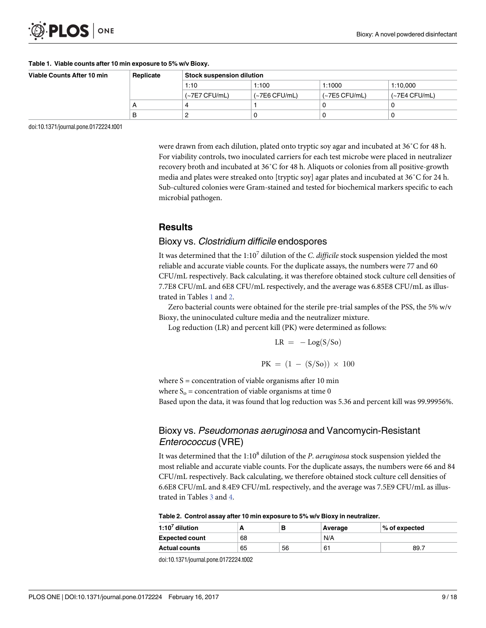<span id="page-8-0"></span>

#### **Table 1. Viable counts after 10 min exposure to 5% w/v Bioxy.**

| Viable Counts After 10 min | Replicate | <b>Stock suspension dilution</b> |                 |                 |                 |  |
|----------------------------|-----------|----------------------------------|-----------------|-----------------|-----------------|--|
|                            |           | 1:10                             | 1:100           | 1:1000          | 1:10.000        |  |
|                            |           | $(-7E7 CFU/mL)$                  | $(-7E6 CFU/mL)$ | $(-7E5 CFU/mL)$ | $(-7E4 CFU/mL)$ |  |
|                            | A         |                                  |                 |                 |                 |  |
|                            | B         |                                  |                 |                 |                 |  |

doi:10.1371/journal.pone.0172224.t001

were drawn from each dilution, plated onto tryptic soy agar and incubated at 36˚C for 48 h. For viability controls, two inoculated carriers for each test microbe were placed in neutralizer recovery broth and incubated at 36˚C for 48 h. Aliquots or colonies from all positive-growth media and plates were streaked onto [tryptic soy] agar plates and incubated at 36˚C for 24 h. Sub-cultured colonies were Gram-stained and tested for biochemical markers specific to each microbial pathogen.

## **Results**

### Bioxy vs. Clostridium difficile endospores

It was determined that the 1:10<sup>7</sup> dilution of the *C*. *difficile* stock suspension yielded the most reliable and accurate viable counts. For the duplicate assays, the numbers were 77 and 60 CFU/mL respectively. Back calculating, it was therefore obtained stock culture cell densities of 7.7E8 CFU/mL and 6E8 CFU/mL respectively, and the average was 6.85E8 CFU/mL as illustrated in Tables 1 and 2.

Zero bacterial counts were obtained for the sterile pre-trial samples of the PSS, the 5% w/v Bioxy, the uninoculated culture media and the neutralizer mixture.

Log reduction (LR) and percent kill (PK) were determined as follows:

$$
LR = -Log(S/So)
$$

$$
PK = (1 - (S/So)) \times 100
$$

where  $S =$  concentration of viable organisms after 10 min where  $S_0$  = concentration of viable organisms at time 0 Based upon the data, it was found that log reduction was 5.36 and percent kill was 99.99956%.

# Bioxy vs. Pseudomonas aeruginosa and Vancomycin-Resistant Enterococcus (VRE)

It was determined that the 1:10<sup>8</sup> dilution of the *P*. *aeruginosa* stock suspension yielded the most reliable and accurate viable counts. For the duplicate assays, the numbers were 66 and 84 CFU/mL respectively. Back calculating, we therefore obtained stock culture cell densities of 6.6E8 CFU/mL and 8.4E9 CFU/mL respectively, and the average was 7.5E9 CFU/mL as illustrated in Tables [3](#page-9-0) and [4](#page-9-0).

#### **Table 2. Control assay after 10 min exposure to 5% w/v Bioxy in neutralizer.**

| 1:10 $^7$ dilution    |    |    | Average | $\%$ of expected |
|-----------------------|----|----|---------|------------------|
| <b>Expected count</b> | 68 |    | N/A     |                  |
| <b>Actual counts</b>  | 65 | 56 | 61      | 89.7             |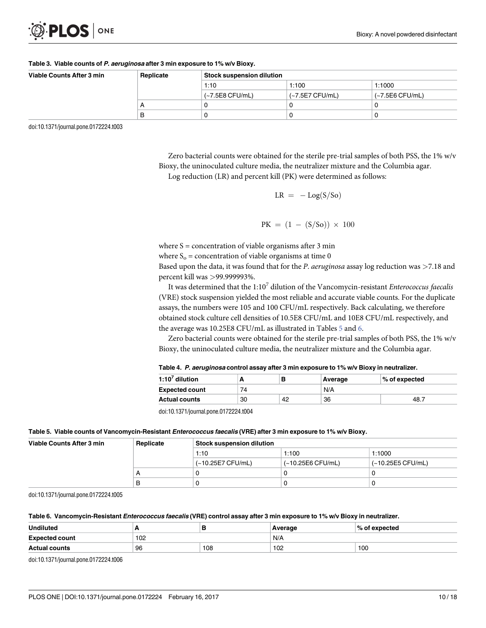<span id="page-9-0"></span>

#### **[Table](#page-8-0) 3. Viable counts of P. aeruginosa after 3 min exposure to 1% w/v Bioxy.**

| Viable Counts After 3 min | Replicate | <b>Stock suspension dilution</b> |                 |                 |  |
|---------------------------|-----------|----------------------------------|-----------------|-----------------|--|
|                           |           | 1:10                             | 1:100           | 1:1000          |  |
|                           |           | (~7.5E8 CFU/mL)                  | (~7.5E7 CFU/mL) | (~7.5E6 CFU/mL) |  |
|                           |           |                                  |                 |                 |  |
|                           | в         |                                  |                 |                 |  |

doi:10.1371/journal.pone.0172224.t003

Zero bacterial counts were obtained for the sterile pre-trial samples of both PSS, the 1% w/v Bioxy, the uninoculated culture media, the neutralizer mixture and the Columbia agar. Log reduction (LR) and percent kill (PK) were determined as follows:

 $LR = -Log(S/So)$ 

 $PK = (1 - (S/So)) \times 100$ 

where  $S =$  concentration of viable organisms after 3 min where  $S_0$  = concentration of viable organisms at time 0

Based upon the data, it was found that for the *P*. *aeruginosa* assay log reduction was *>*7.18 and percent kill was *>*99.999993%.

It was determined that the 1:10<sup>7</sup> dilution of the Vancomycin-resistant *Enterococcus faecalis* (VRE) stock suspension yielded the most reliable and accurate viable counts. For the duplicate assays, the numbers were 105 and 100 CFU/mL respectively. Back calculating, we therefore obtained stock culture cell densities of 10.5E8 CFU/mL and 10E8 CFU/mL respectively, and the average was 10.25E8 CFU/mL as illustrated in Tables 5 and 6.

Zero bacterial counts were obtained for the sterile pre-trial samples of both PSS, the 1% w/v Bioxy, the uninoculated culture media, the neutralizer mixture and the Columbia agar.

| 1:10 $^7$ dilution    | $\%$ of expected<br>Average |    |    |      |  |  |
|-----------------------|-----------------------------|----|----|------|--|--|
| <b>Expected count</b> | 74                          |    |    |      |  |  |
| <b>Actual counts</b>  | 30                          | 42 | 36 | 48.7 |  |  |

| Table 4. <i>P. aeruginosa</i> control assay after 3 min exposure to 1% w/v Bioxy in neutralizer. |  |  |
|--------------------------------------------------------------------------------------------------|--|--|
|--------------------------------------------------------------------------------------------------|--|--|

doi:10.1371/journal.pone.0172224.t004

|  | Table 5. Viable counts of Vancomycin-Resistant <i>Enterococcus faecalis</i> (VRE) after 3 min exposure to 1% w/v Bioxy. |  |  |  |  |
|--|-------------------------------------------------------------------------------------------------------------------------|--|--|--|--|
|--|-------------------------------------------------------------------------------------------------------------------------|--|--|--|--|

| Viable Counts After 3 min | Replicate | <b>Stock suspension dilution</b> |                   |                   |  |
|---------------------------|-----------|----------------------------------|-------------------|-------------------|--|
|                           |           | 1:10                             | 1:100             | 1:1000            |  |
|                           |           | (~10.25E7 CFU/mL)                | (~10.25E6 CFU/mL) | (~10.25E5 CFU/mL) |  |
|                           |           |                                  |                   |                   |  |
|                           | в         |                                  |                   |                   |  |

doi:10.1371/journal.pone.0172224.t005

#### Table 6. Vancomycin-Resistant Enterococcus faecalis (VRE) control assay after 3 min exposure to 1% w/v Bioxy in neutralizer.

| <b>Undiluted</b>      | $\overline{\phantom{0}}$ | P   | Average | $\%$ of expected |
|-----------------------|--------------------------|-----|---------|------------------|
| <b>Expected count</b> | 102                      |     | N/A     |                  |
| <b>Actual counts</b>  | 96                       | 108 | 102     | 100              |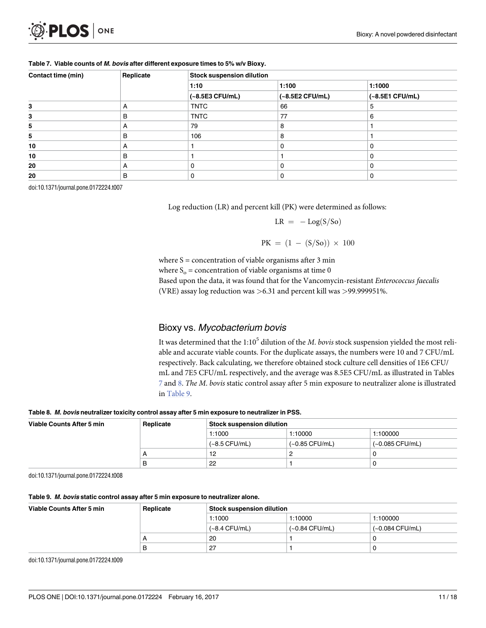| <b>D.PLOS</b> ONE |  |
|-------------------|--|
|-------------------|--|

| Contact time (min) | Replicate |                   | <b>Stock suspension dilution</b> |                   |  |  |  |
|--------------------|-----------|-------------------|----------------------------------|-------------------|--|--|--|
|                    |           | 1:10              | 1:100                            | 1:1000            |  |  |  |
|                    |           | $(-8.5E3 CFU/mL)$ | $(-8.5E2 CFU/mL)$                | $(-8.5E1 CFU/mL)$ |  |  |  |
| 3                  | A         | <b>TNTC</b>       | 66                               | 5                 |  |  |  |
| 3                  | B         | <b>TNTC</b>       | 77                               | 6                 |  |  |  |
| 5                  | A         | 79                | 8                                |                   |  |  |  |
| 5                  | B         | 106               | 8                                |                   |  |  |  |
| 10                 | A         |                   | 0                                | $\Omega$          |  |  |  |
| 10                 | B         |                   |                                  | 0                 |  |  |  |
| 20                 | A         | 0                 | $\Omega$                         | 0                 |  |  |  |
| 20                 | B         | 0                 | 0                                | 0                 |  |  |  |

#### **Table 7. Viable counts of M. bovis after different exposure times to 5% w/v Bioxy.**

doi:10.1371/journal.pone.0172224.t007

Log reduction (LR) and percent kill (PK) were determined as follows:

$$
LR = -Log(S/So)
$$

 $PK = (1 - (S/So)) \times 100$ 

where  $S =$  concentration of viable organisms after 3 min

where  $S_0$  = concentration of viable organisms at time 0

Based upon the data, it was found that for the Vancomycin-resistant *Enterococcus faecalis*

(VRE) assay log reduction was *>*6.31 and percent kill was *>*99.999951%.

# Bioxy vs. Mycobacterium bovis

It was determined that the 1:10<sup>5</sup> dilution of the *M*. *bovis* stock suspension yielded the most reliable and accurate viable counts. For the duplicate assays, the numbers were 10 and 7 CFU/mL respectively. Back calculating, we therefore obtained stock culture cell densities of 1E6 CFU/ mL and 7E5 CFU/mL respectively, and the average was 8.5E5 CFU/mL as illustrated in Tables 7 and 8. *The M*. *bovis* static control assay after 5 min exposure to neutralizer alone is illustrated in Table 9.

#### **Table 8. M. bovis neutralizer toxicity control assay after 5 min exposure to neutralizer in PSS.**

| Viable Counts After 5 min | Replicate |                 | <b>Stock suspension dilution</b> |                 |  |  |
|---------------------------|-----------|-----------------|----------------------------------|-----------------|--|--|
|                           |           | 1:1000          | 1:10000                          | 1:100000        |  |  |
|                           |           | $(-8.5 CFU/mL)$ | $(-0.85 CFU/mL)$                 | (~0.085 CFU/mL) |  |  |
|                           | Α         | 12              |                                  |                 |  |  |
|                           | B         | 22              |                                  |                 |  |  |

doi:10.1371/journal.pone.0172224.t008

### **Table 9. M. bovis static control assay after 5 min exposure to neutralizer alone.**

| Viable Counts After 5 min | Replicate |                 | $\mid$ Stock suspension dilution $\mid$ |                   |  |  |
|---------------------------|-----------|-----------------|-----------------------------------------|-------------------|--|--|
|                           |           | 1:1000          | 1:10000                                 | 1:100000          |  |  |
|                           |           | $(-8.4 CFU/mL)$ | $(-0.84$ CFU/mL)                        | $(-0.084$ CFU/mL) |  |  |
|                           |           | 20              |                                         |                   |  |  |
|                           | B         | 27              |                                         |                   |  |  |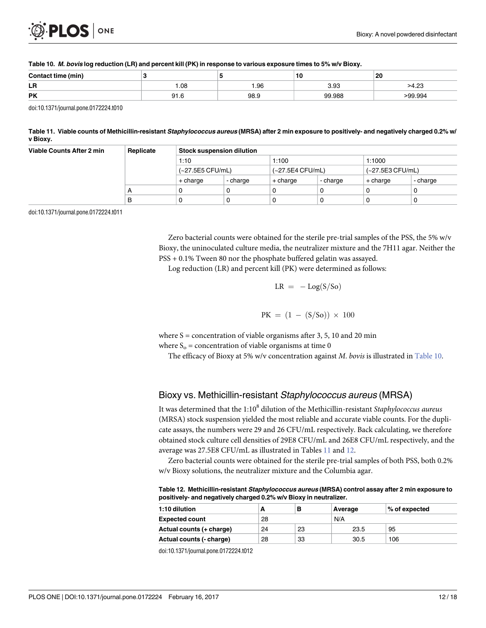

| Con.<br>min<br> |             |       | 10<br>$\sim$ | 20<br>$\sim$ |
|-----------------|-------------|-------|--------------|--------------|
| LR              | 08. ا<br>__ | . .96 | oc           | $\sim$       |
| <b>PK</b>       | n1<br>◡ ・・  | ΩQ    | 99.988       | ი9.994       |

#### Table 10. M. bovis log reduction (LR) and percent kill (PK) in response to various exposure times to 5% w/v Bioxy.

doi:10.1371/journal.pone.0172224.t010

### Table 11. Viable counts of Methicillin-resistant Staphylococcus aureus (MRSA) after 2 min exposure to positively- and negatively charged 0.2% w/ **v Bioxy.**

| Viable Counts After 2 min | Replicate    | <b>Stock suspension dilution</b> |          |                  |          |                  |          |  |
|---------------------------|--------------|----------------------------------|----------|------------------|----------|------------------|----------|--|
|                           |              | 1:10                             |          | 1:100            |          | 1:1000           |          |  |
|                           |              | (~27.5E5 CFU/mL)                 |          | (~27.5E4 CFU/mL) |          | (~27.5E3 CFU/mL) |          |  |
|                           |              | + charge                         | - charge | + charge         | - charge | + charge         | - charge |  |
|                           | $\mathsf{A}$ | 0                                | O        |                  |          |                  |          |  |
|                           | в            | 0                                | 0        |                  |          |                  |          |  |

doi:10.1371/journal.pone.0172224.t011

Zero bacterial counts were obtained for the sterile pre-trial samples of the PSS, the 5% w/v Bioxy, the uninoculated culture media, the neutralizer mixture and the 7H11 agar. Neither the PSS + 0.1% Tween 80 nor the phosphate buffered gelatin was assayed.

Log reduction (LR) and percent kill (PK) were determined as follows:

$$
LR = -Log(S/So)
$$

$$
PK = (1 - (S/So)) \times 100
$$

where  $S =$  concentration of viable organisms after 3, 5, 10 and 20 min where  $S_0$  = concentration of viable organisms at time 0

The efficacy of Bioxy at 5% w/v concentration against *M*. *bovis* is illustrated in Table 10.

# Bioxy vs. Methicillin-resistant Staphylococcus aureus (MRSA)

It was determined that the 1:10<sup>8</sup> dilution of the Methicillin-resistant *Staphylococcus aureus* (MRSA) stock suspension yielded the most reliable and accurate viable counts. For the duplicate assays, the numbers were 29 and 26 CFU/mL respectively. Back calculating, we therefore obtained stock culture cell densities of 29E8 CFU/mL and 26E8 CFU/mL respectively, and the average was 27.5E8 CFU/mL as illustrated in Tables 11 and 12.

Zero bacterial counts were obtained for the sterile pre-trial samples of both PSS, both 0.2% w/v Bioxy solutions, the neutralizer mixture and the Columbia agar.

**Table 12. Methicillin-resistant Staphylococcus aureus (MRSA) control assay after 2 min exposure to positively- and negatively charged 0.2% w/v Bioxy in neutralizer.**

| 1:10 dilution            | А  | в  | Average | $\%$ of expected |
|--------------------------|----|----|---------|------------------|
| <b>Expected count</b>    | 28 |    | N/A     |                  |
| Actual counts (+ charge) | 24 | 23 | 23.5    | 95               |
| Actual counts (- charge) | 28 | 33 | 30.5    | 106              |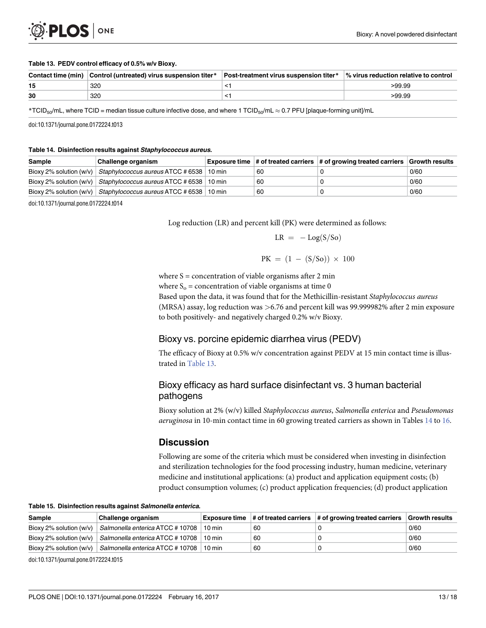<span id="page-12-0"></span>

#### **Table 13. PEDV control efficacy of 0.5% w/v Bioxy.**

|    | Contact time (min) Control (untreated) virus suspension titer* | Post-treatment virus suspension titer* | $\frac{1}{2}$ virus reduction relative to control |
|----|----------------------------------------------------------------|----------------------------------------|---------------------------------------------------|
| 15 | 320                                                            |                                        | >99.99                                            |
| 30 | 320                                                            |                                        | >99.99                                            |

\*TCID<sub>50</sub>/mL, where TCID = median tissue culture infective dose, and where 1 TCID<sub>50</sub>/mL  $\approx$  0.7 PFU [plaque-forming unit]/mL

doi:10.1371/journal.pone.0172224.t013

#### **Table 14. Disinfection results against Staphylococcus aureus.**

| Sample | ∣Challenge organism                                                                    |    | Exposure time $\#$ of treated carriers $\#$ of growing treated carriers $\ $ Growth results |      |
|--------|----------------------------------------------------------------------------------------|----|---------------------------------------------------------------------------------------------|------|
|        | Bioxy 2% solution (w/v) $\vert$ <i>Staphylococcus aureus</i> ATCC #6538 $\vert$ 10 min | 60 |                                                                                             | 0/60 |
|        | Bioxy 2% solution (w/v)   Staphylococcus aureus ATCC # 6538   10 min                   | 60 |                                                                                             | 0/60 |
|        | Bioxy 2% solution (w/v)   Staphylococcus aureus ATCC # 6538   10 min                   | 60 |                                                                                             | 0/60 |

doi:10.1371/journal.pone.0172224.t014

Log reduction (LR) and percent kill (PK) were determined as follows:

$$
LR = -Log(S/So)
$$

$$
PK = (1 - (S/So)) \times 100
$$

where  $S =$  concentration of viable organisms after 2 min

where  $S_0$  = concentration of viable organisms at time 0

Based upon the data, it was found that for the Methicillin-resistant *Staphylococcus aureus* (MRSA) assay, log reduction was *>*6.76 and percent kill was 99.999982% after 2 min exposure to both positively- and negatively charged 0.2% w/v Bioxy.

# Bioxy vs. porcine epidemic diarrhea virus (PEDV)

The efficacy of Bioxy at 0.5% w/v concentration against PEDV at 15 min contact time is illustrated in Table 13.

# Bioxy efficacy as hard surface disinfectant vs. 3 human bacterial pathogens

Bioxy solution at 2% (w/v) killed *Staphylococcus aureus*, *Salmonella enterica* and *Pseudomonas aeruginosa* in 10-min contact time in 60 growing treated carriers as shown in Tables 14 to [16.](#page-13-0)

# **Discussion**

Following are some of the criteria which must be considered when investing in disinfection and sterilization technologies for the food processing industry, human medicine, veterinary medicine and institutional applications: (a) product and application equipment costs; (b) product consumption volumes; (c) product application frequencies; (d) product application

**Table 15. Disinfection results against Salmonella enterica.**

| <b>Sample</b>             | Challenge organism               | Exposure time       |    | $\#$ of treated carriers $\#$ of growing treated carriers | <b>Growth results</b> |
|---------------------------|----------------------------------|---------------------|----|-----------------------------------------------------------|-----------------------|
| Bioxy 2% solution $(w/v)$ | Salmonella enterica ATCC # 10708 | $10 \,\mathrm{min}$ | 60 |                                                           | 0/60                  |
| Bioxy 2% solution $(w/v)$ | Salmonella enterica ATCC # 10708 | $10 \,\mathrm{min}$ | 60 |                                                           | 0/60                  |
| Bioxy 2% solution $(w/v)$ | Salmonella enterica ATCC # 10708 | $10 \,\mathrm{min}$ | 60 |                                                           | 0/60                  |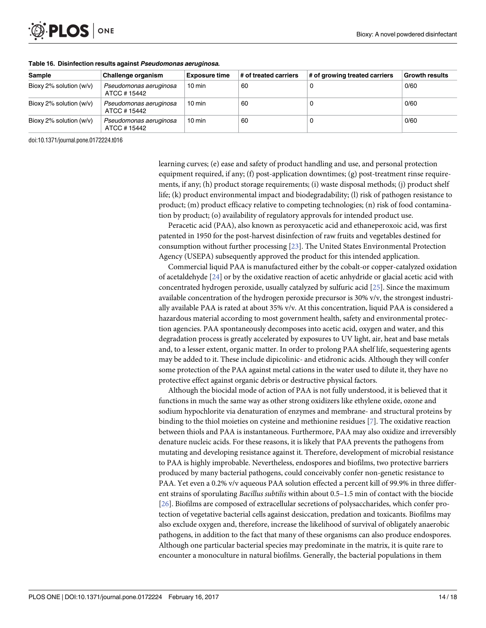<span id="page-13-0"></span>

| Sample                    | Challenge organism                     | <b>Exposure time</b> | # of treated carriers | # of growing treated carriers | <b>Growth results</b> |
|---------------------------|----------------------------------------|----------------------|-----------------------|-------------------------------|-----------------------|
| Bioxy 2% solution $(w/v)$ | Pseudomonas aeruginosa<br>ATCC #15442  | $10 \text{ min}$     | 60                    |                               | 0/60                  |
| Bioxy 2% solution $(w/v)$ | Pseudomonas aeruginosa<br>ATCC # 15442 | $10 \text{ min}$     | 60                    |                               | 0/60                  |
| Bioxy 2% solution $(w/v)$ | Pseudomonas aeruginosa<br>ATCC #15442  | $10 \text{ min}$     | 60                    |                               | 0/60                  |

#### **[Table](#page-12-0) 16. Disinfection results against Pseudomonas aeruginosa.**

doi:10.1371/journal.pone.0172224.t016

learning curves; (e) ease and safety of product handling and use, and personal protection equipment required, if any; (f) post-application downtimes; (g) post-treatment rinse requirements, if any; (h) product storage requirements; (i) waste disposal methods; (j) product shelf life; (k) product environmental impact and biodegradability; (l) risk of pathogen resistance to product; (m) product efficacy relative to competing technologies; (n) risk of food contamination by product; (o) availability of regulatory approvals for intended product use.

Peracetic acid (PAA), also known as peroxyacetic acid and ethaneperoxoic acid, was first patented in 1950 for the post-harvest disinfection of raw fruits and vegetables destined for consumption without further processing [\[23\]](#page-17-0). The United States Environmental Protection Agency (USEPA) subsequently approved the product for this intended application.

Commercial liquid PAA is manufactured either by the cobalt-or copper-catalyzed oxidation of acetaldehyde [\[24\]](#page-17-0) or by the oxidative reaction of acetic anhydride or glacial acetic acid with concentrated hydrogen peroxide, usually catalyzed by sulfuric acid [[25](#page-17-0)]. Since the maximum available concentration of the hydrogen peroxide precursor is 30% v/v, the strongest industrially available PAA is rated at about 35% v/v. At this concentration, liquid PAA is considered a hazardous material according to most government health, safety and environmental protection agencies. PAA spontaneously decomposes into acetic acid, oxygen and water, and this degradation process is greatly accelerated by exposures to UV light, air, heat and base metals and, to a lesser extent, organic matter. In order to prolong PAA shelf life, sequestering agents may be added to it. These include dipicolinic- and etidronic acids. Although they will confer some protection of the PAA against metal cations in the water used to dilute it, they have no protective effect against organic debris or destructive physical factors.

Although the biocidal mode of action of PAA is not fully understood, it is believed that it functions in much the same way as other strong oxidizers like ethylene oxide, ozone and sodium hypochlorite via denaturation of enzymes and membrane- and structural proteins by binding to the thiol moieties on cysteine and methionine residues [\[7\]](#page-16-0). The oxidative reaction between thiols and PAA is instantaneous. Furthermore, PAA may also oxidize and irreversibly denature nucleic acids. For these reasons, it is likely that PAA prevents the pathogens from mutating and developing resistance against it. Therefore, development of microbial resistance to PAA is highly improbable. Nevertheless, endospores and biofilms, two protective barriers produced by many bacterial pathogens, could conceivably confer non-genetic resistance to PAA. Yet even a 0.2% v/v aqueous PAA solution effected a percent kill of 99.9% in three different strains of sporulating *Bacillus subtilis* within about 0.5–1.5 min of contact with the biocide [\[26\]](#page-17-0). Biofilms are composed of extracellular secretions of polysaccharides, which confer protection of vegetative bacterial cells against desiccation, predation and toxicants. Biofilms may also exclude oxygen and, therefore, increase the likelihood of survival of obligately anaerobic pathogens, in addition to the fact that many of these organisms can also produce endospores. Although one particular bacterial species may predominate in the matrix, it is quite rare to encounter a monoculture in natural biofilms. Generally, the bacterial populations in them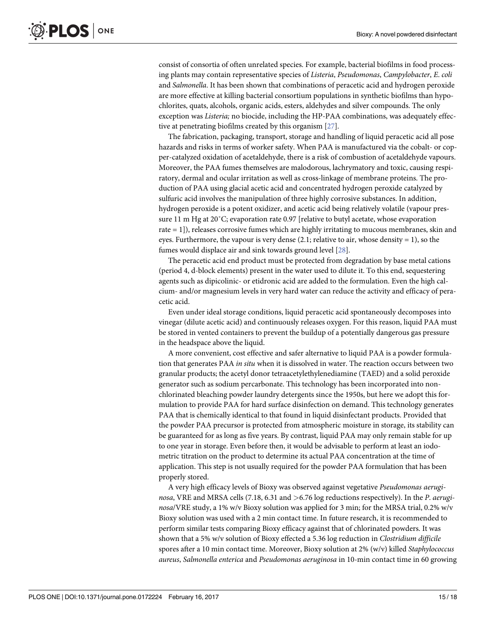<span id="page-14-0"></span>consist of consortia of often unrelated species. For example, bacterial biofilms in food processing plants may contain representative species of *Listeria*, *Pseudomonas*, *Campylobacter*, *E*. *coli* and *Salmonella*. It has been shown that combinations of peracetic acid and hydrogen peroxide are more effective at killing bacterial consortium populations in synthetic biofilms than hypochlorites, quats, alcohols, organic acids, esters, aldehydes and silver compounds. The only exception was *Listeria;* no biocide, including the HP-PAA combinations, was adequately effective at penetrating biofilms created by this organism [\[27\]](#page-17-0).

The fabrication, packaging, transport, storage and handling of liquid peracetic acid all pose hazards and risks in terms of worker safety. When PAA is manufactured via the cobalt- or copper-catalyzed oxidation of acetaldehyde, there is a risk of combustion of acetaldehyde vapours. Moreover, the PAA fumes themselves are malodorous, lachrymatory and toxic, causing respiratory, dermal and ocular irritation as well as cross-linkage of membrane proteins. The production of PAA using glacial acetic acid and concentrated hydrogen peroxide catalyzed by sulfuric acid involves the manipulation of three highly corrosive substances. In addition, hydrogen peroxide is a potent oxidizer, and acetic acid being relatively volatile (vapour pressure 11 m Hg at 20˚C; evaporation rate 0.97 [relative to butyl acetate, whose evaporation rate = 1]), releases corrosive fumes which are highly irritating to mucous membranes, skin and eyes. Furthermore, the vapour is very dense  $(2.1;$  relative to air, whose density = 1), so the fumes would displace air and sink towards ground level [\[28\]](#page-17-0).

The peracetic acid end product must be protected from degradation by base metal cations (period 4, d-block elements) present in the water used to dilute it. To this end, sequestering agents such as dipicolinic- or etidronic acid are added to the formulation. Even the high calcium- and/or magnesium levels in very hard water can reduce the activity and efficacy of peracetic acid.

Even under ideal storage conditions, liquid peracetic acid spontaneously decomposes into vinegar (dilute acetic acid) and continuously releases oxygen. For this reason, liquid PAA must be stored in vented containers to prevent the buildup of a potentially dangerous gas pressure in the headspace above the liquid.

A more convenient, cost effective and safer alternative to liquid PAA is a powder formulation that generates PAA *in situ* when it is dissolved in water. The reaction occurs between two granular products; the acetyl donor tetraacetylethylenediamine (TAED) and a solid peroxide generator such as sodium percarbonate. This technology has been incorporated into nonchlorinated bleaching powder laundry detergents since the 1950s, but here we adopt this formulation to provide PAA for hard surface disinfection on demand. This technology generates PAA that is chemically identical to that found in liquid disinfectant products. Provided that the powder PAA precursor is protected from atmospheric moisture in storage, its stability can be guaranteed for as long as five years. By contrast, liquid PAA may only remain stable for up to one year in storage. Even before then, it would be advisable to perform at least an iodometric titration on the product to determine its actual PAA concentration at the time of application. This step is not usually required for the powder PAA formulation that has been properly stored.

A very high efficacy levels of Bioxy was observed against vegetative *Pseudomonas aeruginosa*, VRE and MRSA cells (7.18, 6.31 and *>*6.76 log reductions respectively). In the *P*. *aeruginosa*/VRE study, a 1% w/v Bioxy solution was applied for 3 min; for the MRSA trial, 0.2% w/v Bioxy solution was used with a 2 min contact time. In future research, it is recommended to perform similar tests comparing Bioxy efficacy against that of chlorinated powders. It was shown that a 5% w/v solution of Bioxy effected a 5.36 log reduction in *Clostridium difficile* spores after a 10 min contact time. Moreover, Bioxy solution at 2% (w/v) killed *Staphylococcus aureus*, *Salmonella enterica* and *Pseudomonas aeruginosa* in 10-min contact time in 60 growing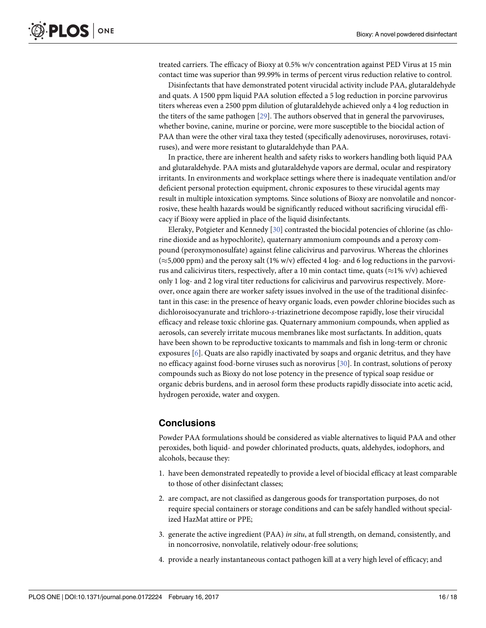<span id="page-15-0"></span>treated carriers. The efficacy of Bioxy at 0.5% w/v concentration against PED Virus at 15 min contact time was superior than 99.99% in terms of percent virus reduction relative to control.

Disinfectants that have demonstrated potent virucidal activity include PAA, glutaraldehyde and quats. A 1500 ppm liquid PAA solution effected a 5 log reduction in porcine parvovirus titers whereas even a 2500 ppm dilution of glutaraldehyde achieved only a 4 log reduction in the titers of the same pathogen [\[29\]](#page-17-0). The authors observed that in general the parvoviruses, whether bovine, canine, murine or porcine, were more susceptible to the biocidal action of PAA than were the other viral taxa they tested (specifically adenoviruses, noroviruses, rotaviruses), and were more resistant to glutaraldehyde than PAA.

In practice, there are inherent health and safety risks to workers handling both liquid PAA and glutaraldehyde. PAA mists and glutaraldehyde vapors are dermal, ocular and respiratory irritants. In environments and workplace settings where there is inadequate ventilation and/or deficient personal protection equipment, chronic exposures to these virucidal agents may result in multiple intoxication symptoms. Since solutions of Bioxy are nonvolatile and noncorrosive, these health hazards would be significantly reduced without sacrificing virucidal efficacy if Bioxy were applied in place of the liquid disinfectants.

Eleraky, Potgieter and Kennedy [[30](#page-17-0)] contrasted the biocidal potencies of chlorine (as chlorine dioxide and as hypochlorite), quaternary ammonium compounds and a peroxy compound (peroxymonosulfate) against feline calicivirus and parvovirus. Whereas the chlorines  $(\approx 5,000 \text{ ppm})$  and the peroxy salt (1% w/v) effected 4 log- and 6 log reductions in the parvovirus and calicivirus titers, respectively, after a 10 min contact time, quats ( $\approx$ 1% v/v) achieved only 1 log- and 2 log viral titer reductions for calicivirus and parvovirus respectively. Moreover, once again there are worker safety issues involved in the use of the traditional disinfectant in this case: in the presence of heavy organic loads, even powder chlorine biocides such as dichloroisocyanurate and trichloro-*s*-triazinetrione decompose rapidly, lose their virucidal efficacy and release toxic chlorine gas. Quaternary ammonium compounds, when applied as aerosols, can severely irritate mucous membranes like most surfactants. In addition, quats have been shown to be reproductive toxicants to mammals and fish in long-term or chronic exposures [\[6\]](#page-16-0). Quats are also rapidly inactivated by soaps and organic detritus, and they have no efficacy against food-borne viruses such as norovirus [\[30\]](#page-17-0). In contrast, solutions of peroxy compounds such as Bioxy do not lose potency in the presence of typical soap residue or organic debris burdens, and in aerosol form these products rapidly dissociate into acetic acid, hydrogen peroxide, water and oxygen.

# **Conclusions**

Powder PAA formulations should be considered as viable alternatives to liquid PAA and other peroxides, both liquid- and powder chlorinated products, quats, aldehydes, iodophors, and alcohols, because they:

- 1. have been demonstrated repeatedly to provide a level of biocidal efficacy at least comparable to those of other disinfectant classes;
- 2. are compact, are not classified as dangerous goods for transportation purposes, do not require special containers or storage conditions and can be safely handled without specialized HazMat attire or PPE;
- 3. generate the active ingredient (PAA) *in situ*, at full strength, on demand, consistently, and in noncorrosive, nonvolatile, relatively odour-free solutions;
- 4. provide a nearly instantaneous contact pathogen kill at a very high level of efficacy; and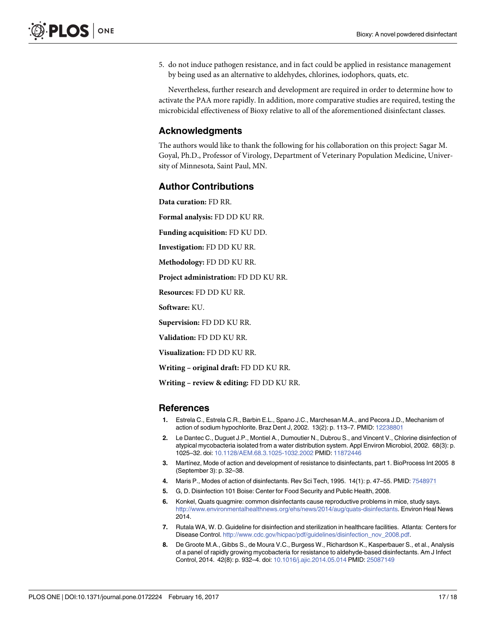<span id="page-16-0"></span>5. do not induce pathogen resistance, and in fact could be applied in resistance management by being used as an alternative to aldehydes, chlorines, iodophors, quats, etc.

Nevertheless, further research and development are required in order to determine how to activate the PAA more rapidly. In addition, more comparative studies are required, testing the microbicidal effectiveness of Bioxy relative to all of the aforementioned disinfectant classes.

### **Acknowledgments**

The authors would like to thank the following for his collaboration on this project: Sagar M. Goyal, Ph.D., Professor of Virology, Department of Veterinary Population Medicine, University of Minnesota, Saint Paul, MN.

### **Author Contributions**

**Data curation:** FD RR.

**Formal analysis:** FD DD KU RR.

**Funding acquisition:** FD KU DD.

**Investigation:** FD DD KU RR.

**Methodology:** FD DD KU RR.

**Project administration:** FD DD KU RR.

**Resources:** FD DD KU RR.

**Software:** KU.

**Supervision:** FD DD KU RR.

**Validation:** FD DD KU RR.

**Visualization:** FD DD KU RR.

**Writing – original draft:** FD DD KU RR.

**Writing – review & editing:** FD DD KU RR.

#### **References**

- **[1](#page-1-0).** Estrela C., Estrela C.R., Barbin E.L., Spano J.C., Marchesan M.A., and Pecora J.D., Mechanism of action of sodium hypochlorite. Braz Dent J, 2002. 13(2): p. 113–7. PMID: [12238801](http://www.ncbi.nlm.nih.gov/pubmed/12238801)
- **[2](#page-1-0).** Le Dantec C., Duguet J.P., Montiel A., Dumoutier N., Dubrou S., and Vincent V., Chlorine disinfection of atypical mycobacteria isolated from a water distribution system. Appl Environ Microbiol, 2002. 68(3): p. 1025–32. doi: [10.1128/AEM.68.3.1025-1032.2002](http://dx.doi.org/10.1128/AEM.68.3.1025-1032.2002) PMID: [11872446](http://www.ncbi.nlm.nih.gov/pubmed/11872446)
- **[3](#page-1-0).** Martínez, Mode of action and development of resistance to disinfectants, part 1. BioProcess Int 2005 8 (September 3): p. 32–38.
- **[4](#page-1-0).** Maris P., Modes of action of disinfectants. Rev Sci Tech, 1995. 14(1): p. 47–55. PMID: [7548971](http://www.ncbi.nlm.nih.gov/pubmed/7548971)
- **[5](#page-1-0).** G, D. Disinfection 101 Boise: Center for Food Security and Public Health, 2008.
- **[6](#page-2-0).** Konkel, Quats quagmire: common disinfectants cause reproductive problems in mice, study says. <http://www.environmentalhealthnews.org/ehs/news/2014/aug/quats-disinfectants>. Environ Heal News 2014.
- **[7](#page-2-0).** Rutala WA, W. D. Guideline for disinfection and sterilization in healthcare facilities. Atlanta: Centers for Disease Control. [http://www.cdc.gov/hicpac/pdf/guidelines/disinfection\\_nov\\_2008.pdf](http://www.cdc.gov/hicpac/pdf/guidelines/disinfection_nov_2008.pdf).
- **[8](#page-2-0).** De Groote M.A., Gibbs S., de Moura V.C., Burgess W., Richardson K., Kasperbauer S., et al., Analysis of a panel of rapidly growing mycobacteria for resistance to aldehyde-based disinfectants. Am J Infect Control, 2014. 42(8): p. 932–4. doi: [10.1016/j.ajic.2014.05.014](http://dx.doi.org/10.1016/j.ajic.2014.05.014) PMID: [25087149](http://www.ncbi.nlm.nih.gov/pubmed/25087149)